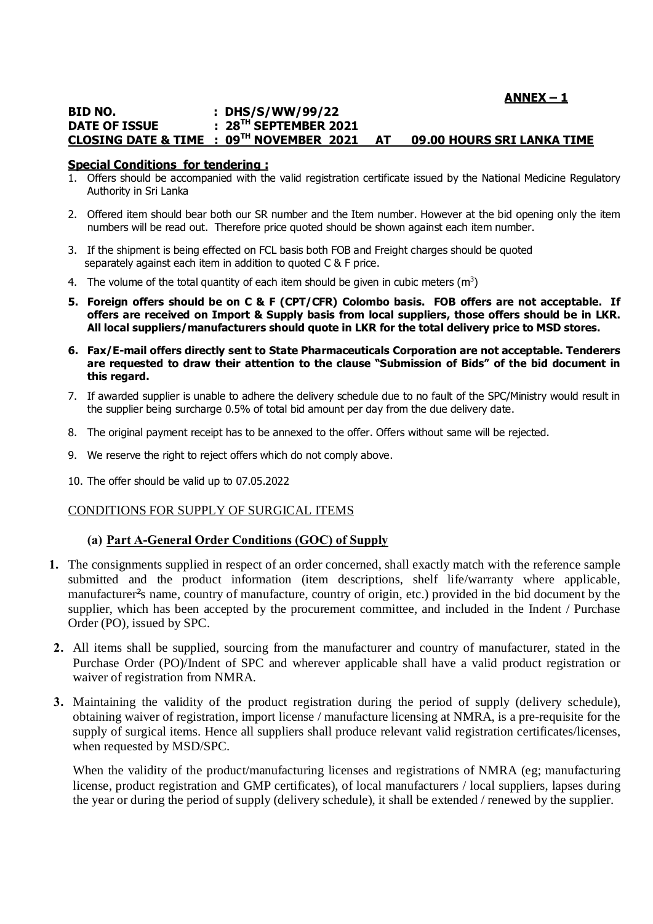# **ANNEX – 1**

#### **BID NO. : DHS/S/WW/99/22 DATE OF ISSUE : 28TH SEPTEMBER 2021 CLOSING DATE & TIME : 09TH NOVEMBER 2021 AT 09.00 HOURS SRI LANKA TIME**

#### **Special Conditions for tendering :**

- 1. Offers should be accompanied with the valid registration certificate issued by the National Medicine Regulatory Authority in Sri Lanka
- 2. Offered item should bear both our SR number and the Item number. However at the bid opening only the item numbers will be read out. Therefore price quoted should be shown against each item number.
- 3. If the shipment is being effected on FCL basis both FOB and Freight charges should be quoted separately against each item in addition to quoted C & F price.
- 4. The volume of the total quantity of each item should be given in cubic meters (m<sup>3</sup>)
- **5. Foreign offers should be on C & F (CPT/CFR) Colombo basis. FOB offers are not acceptable. If offers are received on Import & Supply basis from local suppliers, those offers should be in LKR. All local suppliers/manufacturers should quote in LKR for the total delivery price to MSD stores.**
- **6. Fax/E-mail offers directly sent to State Pharmaceuticals Corporation are not acceptable. Tenderers are requested to draw their attention to the clause "Submission of Bids" of the bid document in this regard.**
- 7. If awarded supplier is unable to adhere the delivery schedule due to no fault of the SPC/Ministry would result in the supplier being surcharge 0.5% of total bid amount per day from the due delivery date.
- 8. The original payment receipt has to be annexed to the offer. Offers without same will be rejected.
- 9. We reserve the right to reject offers which do not comply above.
- 10. The offer should be valid up to 07.05.2022

#### CONDITIONS FOR SUPPLY OF SURGICAL ITEMS

## **(a) Part A-General Order Conditions (GOC) of Supply**

- **1.** The consignments supplied in respect of an order concerned, shall exactly match with the reference sample submitted and the product information (item descriptions, shelf life/warranty where applicable, manufacturer's name, country of manufacture, country of origin, etc.) provided in the bid document by the supplier, which has been accepted by the procurement committee, and included in the Indent / Purchase Order (PO), issued by SPC.
- **2.** All items shall be supplied, sourcing from the manufacturer and country of manufacturer, stated in the Purchase Order (PO)/Indent of SPC and wherever applicable shall have a valid product registration or waiver of registration from NMRA.
- **3.** Maintaining the validity of the product registration during the period of supply (delivery schedule), obtaining waiver of registration, import license / manufacture licensing at NMRA, is a pre-requisite for the supply of surgical items. Hence all suppliers shall produce relevant valid registration certificates/licenses, when requested by MSD/SPC.

When the validity of the product/manufacturing licenses and registrations of NMRA (eg; manufacturing license, product registration and GMP certificates), of local manufacturers / local suppliers, lapses during the year or during the period of supply (delivery schedule), it shall be extended / renewed by the supplier.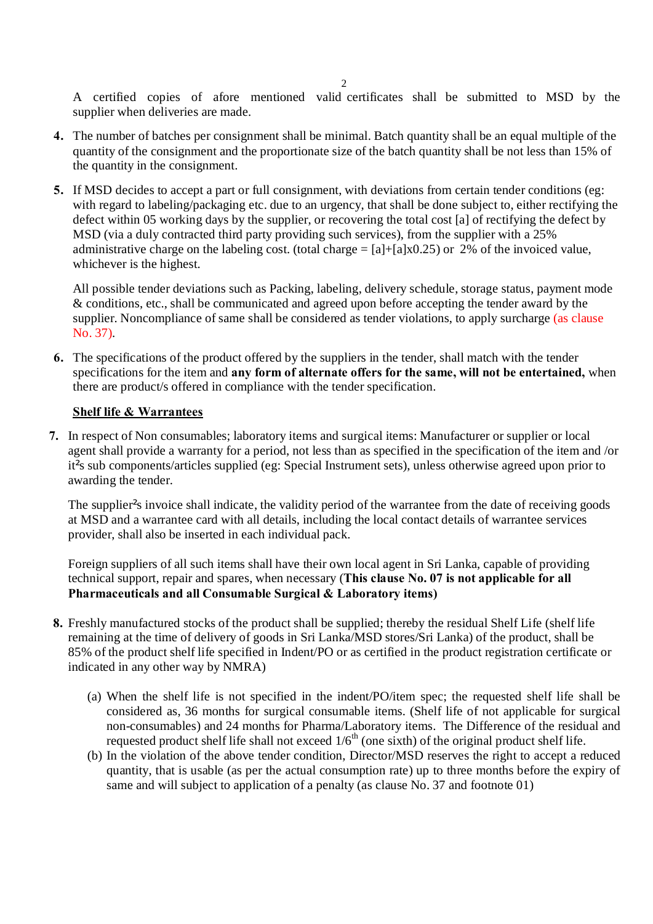A certified copies of afore mentioned valid certificates shall be submitted to MSD by the supplier when deliveries are made.

- **4.** The number of batches per consignment shall be minimal. Batch quantity shall be an equal multiple of the quantity of the consignment and the proportionate size of the batch quantity shall be not less than 15% of the quantity in the consignment.
- **5.** If MSD decides to accept a part or full consignment, with deviations from certain tender conditions (eg: with regard to labeling/packaging etc. due to an urgency, that shall be done subject to, either rectifying the defect within 05 working days by the supplier, or recovering the total cost [a] of rectifying the defect by MSD (via a duly contracted third party providing such services), from the supplier with a 25% administrative charge on the labeling cost. (total charge  $= [\text{a}] + [\text{a}] \times 0.25$ ) or 2% of the invoiced value, whichever is the highest.

All possible tender deviations such as Packing, labeling, delivery schedule, storage status, payment mode & conditions, etc., shall be communicated and agreed upon before accepting the tender award by the supplier. Noncompliance of same shall be considered as tender violations, to apply surcharge (as clause No. 37).

**6.** The specifications of the product offered by the suppliers in the tender, shall match with the tender specifications for the item and **any form of alternate offers for the same, will not be entertained,** when there are product/s offered in compliance with the tender specification.

## **Shelf life & Warrantees**

**7.** In respect of Non consumables; laboratory items and surgical items: Manufacturer or supplier or local agent shall provide a warranty for a period, not less than as specified in the specification of the item and /or it<sup>'</sup>s sub components/articles supplied (eg: Special Instrument sets), unless otherwise agreed upon prior to awarding the tender.

The supplier<sup>'</sup>s invoice shall indicate, the validity period of the warrantee from the date of receiving goods at MSD and a warrantee card with all details, including the local contact details of warrantee services provider, shall also be inserted in each individual pack.

Foreign suppliers of all such items shall have their own local agent in Sri Lanka, capable of providing technical support, repair and spares, when necessary (**This clause No. 07 is not applicable for all Pharmaceuticals and all Consumable Surgical & Laboratory items)**

- **8.** Freshly manufactured stocks of the product shall be supplied; thereby the residual Shelf Life (shelf life remaining at the time of delivery of goods in Sri Lanka/MSD stores/Sri Lanka) of the product, shall be 85% of the product shelf life specified in Indent/PO or as certified in the product registration certificate or indicated in any other way by NMRA)
	- (a) When the shelf life is not specified in the indent/PO/item spec; the requested shelf life shall be considered as, 36 months for surgical consumable items. (Shelf life of not applicable for surgical non-consumables) and 24 months for Pharma/Laboratory items. The Difference of the residual and requested product shelf life shall not exceed  $1/6<sup>th</sup>$  (one sixth) of the original product shelf life.
	- (b) In the violation of the above tender condition, Director/MSD reserves the right to accept a reduced quantity, that is usable (as per the actual consumption rate) up to three months before the expiry of same and will subject to application of a penalty (as clause No. 37 and footnote 01)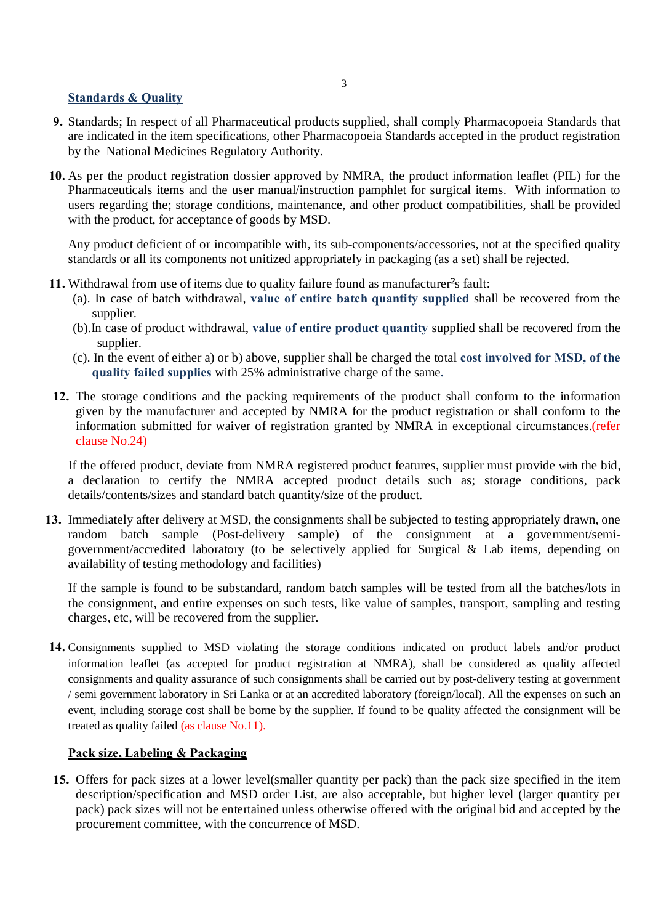## **Standards & Quality**

- **9.** Standards; In respect of all Pharmaceutical products supplied, shall comply Pharmacopoeia Standards that are indicated in the item specifications, other Pharmacopoeia Standards accepted in the product registration by the National Medicines Regulatory Authority.
- **10.** As per the product registration dossier approved by NMRA, the product information leaflet (PIL) for the Pharmaceuticals items and the user manual/instruction pamphlet for surgical items. With information to users regarding the; storage conditions, maintenance, and other product compatibilities, shall be provided with the product, for acceptance of goods by MSD.

Any product deficient of or incompatible with, its sub-components/accessories, not at the specified quality standards or all its components not unitized appropriately in packaging (as a set) shall be rejected.

- **11.** Withdrawal from use of items due to quality failure found as manufacturer's fault:
	- (a). In case of batch withdrawal, **value of entire batch quantity supplied** shall be recovered from the supplier.
	- (b).In case of product withdrawal, **value of entire product quantity** supplied shall be recovered from the supplier.
	- (c). In the event of either a) or b) above, supplier shall be charged the total **cost involved for MSD, of the quality failed supplies** with 25% administrative charge of the same**.**
- **12.** The storage conditions and the packing requirements of the product shall conform to the information given by the manufacturer and accepted by NMRA for the product registration or shall conform to the information submitted for waiver of registration granted by NMRA in exceptional circumstances.(refer clause No.24)

If the offered product, deviate from NMRA registered product features, supplier must provide with the bid, a declaration to certify the NMRA accepted product details such as; storage conditions, pack details/contents/sizes and standard batch quantity/size of the product.

**13.** Immediately after delivery at MSD, the consignments shall be subjected to testing appropriately drawn, one random batch sample (Post-delivery sample) of the consignment at a government/semigovernment/accredited laboratory (to be selectively applied for Surgical & Lab items, depending on availability of testing methodology and facilities)

If the sample is found to be substandard, random batch samples will be tested from all the batches/lots in the consignment, and entire expenses on such tests, like value of samples, transport, sampling and testing charges, etc, will be recovered from the supplier.

**14.** Consignments supplied to MSD violating the storage conditions indicated on product labels and/or product information leaflet (as accepted for product registration at NMRA), shall be considered as quality affected consignments and quality assurance of such consignments shall be carried out by post-delivery testing at government / semi government laboratory in Sri Lanka or at an accredited laboratory (foreign/local). All the expenses on such an event, including storage cost shall be borne by the supplier. If found to be quality affected the consignment will be treated as quality failed (as clause No.11).

## **Pack size, Labeling & Packaging**

**15.** Offers for pack sizes at a lower level(smaller quantity per pack) than the pack size specified in the item description/specification and MSD order List, are also acceptable, but higher level (larger quantity per pack) pack sizes will not be entertained unless otherwise offered with the original bid and accepted by the procurement committee, with the concurrence of MSD.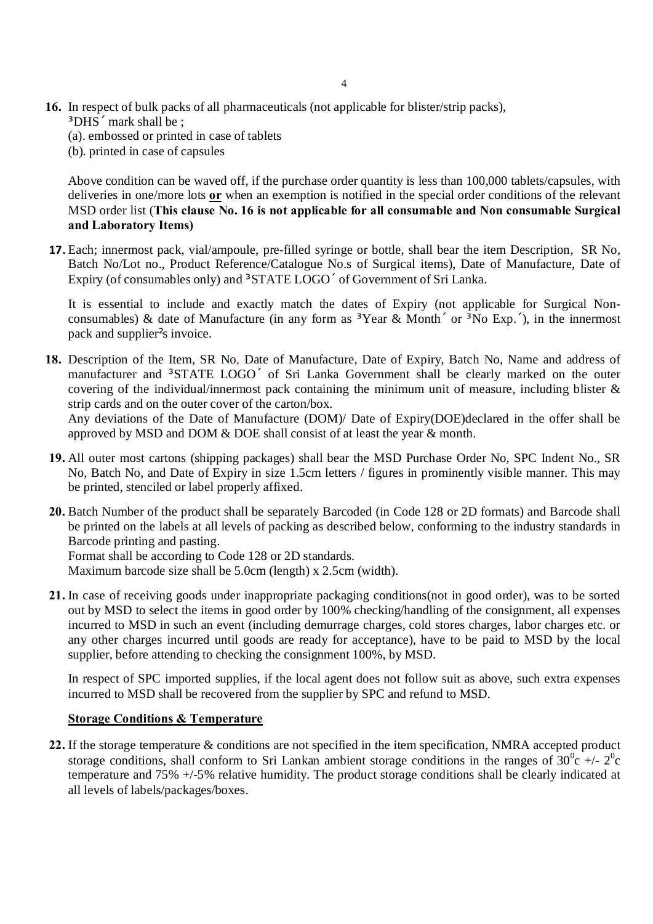- **16.** In respect of bulk packs of all pharmaceuticals (not applicable for blister/strip packs),
	- · DHS mark shall be;
	- (a). embossed or printed in case of tablets
	- (b). printed in case of capsules

Above condition can be waved off, if the purchase order quantity is less than 100,000 tablets/capsules, with deliveries in one/more lots **or** when an exemption is notified in the special order conditions of the relevant MSD order list (**This clause No. 16 is not applicable for all consumable and Non consumable Surgical and Laboratory Items)**

**17.** Each; innermost pack, vial/ampoule, pre-filled syringe or bottle, shall bear the item Description, SR No, Batch No/Lot no., Product Reference/Catalogue No.s of Surgical items), Date of Manufacture, Date of Expiry (of consumables only) and  $\cdot$  STATE LOGO of Government of Sri Lanka.

It is essential to include and exactly match the dates of Expiry (not applicable for Surgical Nonconsumables) & date of Manufacture (in any form as  $\cdot$  Year & Month or  $\cdot$  No Exp. ), in the innermost pack and supplier's invoice.

**18.** Description of the Item, SR No, Date of Manufacture, Date of Expiry, Batch No, Name and address of manufacturer and STATE LOGO of Sri Lanka Government shall be clearly marked on the outer covering of the individual/innermost pack containing the minimum unit of measure, including blister & strip cards and on the outer cover of the carton/box.

Any deviations of the Date of Manufacture (DOM)/ Date of Expiry(DOE)declared in the offer shall be approved by MSD and DOM & DOE shall consist of at least the year & month.

- **19.** All outer most cartons (shipping packages) shall bear the MSD Purchase Order No, SPC Indent No., SR No, Batch No, and Date of Expiry in size 1.5cm letters / figures in prominently visible manner. This may be printed, stenciled or label properly affixed.
- **20.** Batch Number of the product shall be separately Barcoded (in Code 128 or 2D formats) and Barcode shall be printed on the labels at all levels of packing as described below, conforming to the industry standards in Barcode printing and pasting.

Format shall be according to Code 128 or 2D standards.

Maximum barcode size shall be 5.0cm (length) x 2.5cm (width).

**21.** In case of receiving goods under inappropriate packaging conditions(not in good order), was to be sorted out by MSD to select the items in good order by 100% checking/handling of the consignment, all expenses incurred to MSD in such an event (including demurrage charges, cold stores charges, labor charges etc. or any other charges incurred until goods are ready for acceptance), have to be paid to MSD by the local supplier, before attending to checking the consignment 100%, by MSD.

In respect of SPC imported supplies, if the local agent does not follow suit as above, such extra expenses incurred to MSD shall be recovered from the supplier by SPC and refund to MSD.

#### **Storage Conditions & Temperature**

**22.** If the storage temperature & conditions are not specified in the item specification, NMRA accepted product storage conditions, shall conform to Sri Lankan ambient storage conditions in the ranges of  $30^0c +12^0c$ temperature and 75% +/-5% relative humidity. The product storage conditions shall be clearly indicated at all levels of labels/packages/boxes.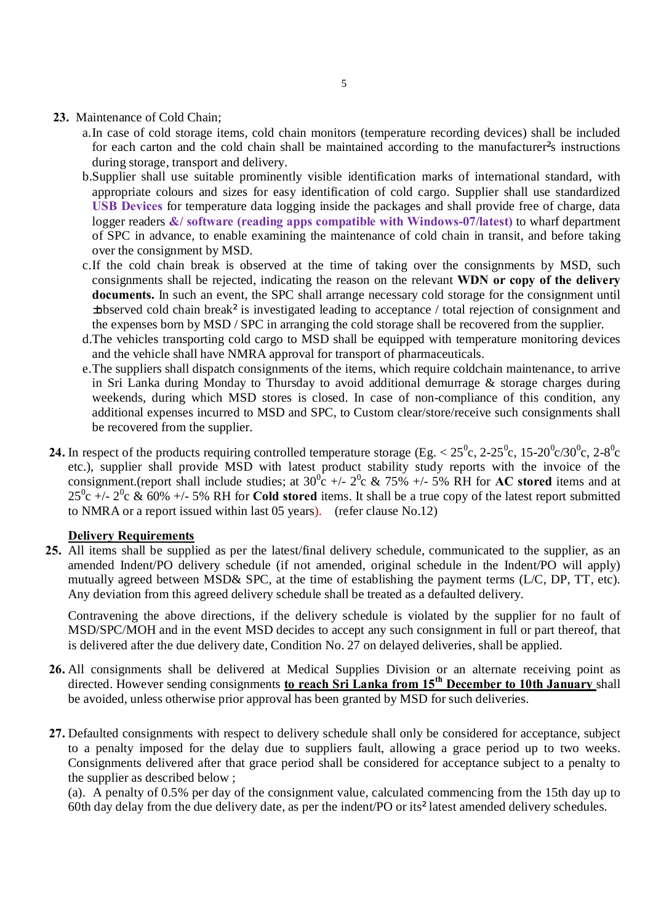- **23.** Maintenance of Cold Chain;
	- a.In case of cold storage items, cold chain monitors (temperature recording devices) shall be included for each carton and the cold chain shall be maintained according to the manufacturer<sup>s</sup> instructions during storage, transport and delivery.
	- b.Supplier shall use suitable prominently visible identification marks of international standard, with appropriate colours and sizes for easy identification of cold cargo. Supplier shall use standardized **USB Devices** for temperature data logging inside the packages and shall provide free of charge, data logger readers **&/ software (reading apps compatible with Windows-07/latest)** to wharf department of SPC in advance, to enable examining the maintenance of cold chain in transit, and before taking over the consignment by MSD.
	- c.If the cold chain break is observed at the time of taking over the consignments by MSD, such consignments shall be rejected, indicating the reason on the relevant **WDN or copy of the delivery documents.** In such an event, the SPC shall arrange necessary cold storage for the consignment until  $\mu$ observed cold chain break $\P$  is investigated leading to acceptance / total rejection of consignment and the expenses born by MSD / SPC in arranging the cold storage shall be recovered from the supplier.
	- d.The vehicles transporting cold cargo to MSD shall be equipped with temperature monitoring devices and the vehicle shall have NMRA approval for transport of pharmaceuticals.
	- e.The suppliers shall dispatch consignments of the items, which require coldchain maintenance, to arrive in Sri Lanka during Monday to Thursday to avoid additional demurrage & storage charges during weekends, during which MSD stores is closed. In case of non-compliance of this condition, any additional expenses incurred to MSD and SPC, to Custom clear/store/receive such consignments shall be recovered from the supplier.
- 24. In respect of the products requiring controlled temperature storage (Eg.  $< 25^{\circ}$ c, 2-25<sup>o</sup>c, 15-20<sup>o</sup>c/30<sup>o</sup>c, 2-8<sup>o</sup>c etc.), supplier shall provide MSD with latest product stability study reports with the invoice of the consignment.(report shall include studies; at  $30^{\circ}$ c +/-  $2^{\circ}$ c & 75% +/- 5% RH for **AC stored** items and at  $25^0$ c  $+/- 2^0$ c & 60%  $+/- 5$ % RH for **Cold stored** items. It shall be a true copy of the latest report submitted to NMRA or a report issued within last 05 years). (refer clause No.12)

#### **Delivery Requirements**

**25.** All items shall be supplied as per the latest/final delivery schedule, communicated to the supplier, as an amended Indent/PO delivery schedule (if not amended, original schedule in the Indent/PO will apply) mutually agreed between MSD& SPC, at the time of establishing the payment terms (L/C, DP, TT, etc). Any deviation from this agreed delivery schedule shall be treated as a defaulted delivery.

Contravening the above directions, if the delivery schedule is violated by the supplier for no fault of MSD/SPC/MOH and in the event MSD decides to accept any such consignment in full or part thereof, that is delivered after the due delivery date, Condition No. 27 on delayed deliveries, shall be applied.

- **26.** All consignments shall be delivered at Medical Supplies Division or an alternate receiving point as directed. However sending consignments **to reach Sri Lanka from 15th December to 10th January** shall be avoided, unless otherwise prior approval has been granted by MSD for such deliveries.
- **27.** Defaulted consignments with respect to delivery schedule shall only be considered for acceptance, subject to a penalty imposed for the delay due to suppliers fault, allowing a grace period up to two weeks. Consignments delivered after that grace period shall be considered for acceptance subject to a penalty to the supplier as described below ;

(a). A penalty of 0.5% per day of the consignment value, calculated commencing from the 15th day up to 60th day delay from the due delivery date, as per the indent/PO or its¶latest amended delivery schedules.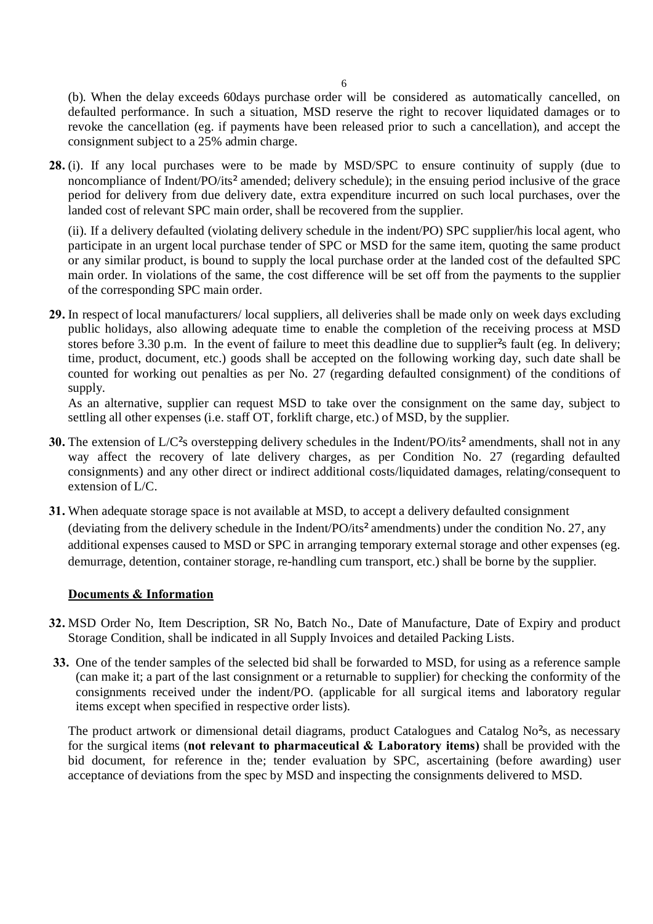(b). When the delay exceeds 60days purchase order will be considered as automatically cancelled, on defaulted performance. In such a situation, MSD reserve the right to recover liquidated damages or to revoke the cancellation (eg. if payments have been released prior to such a cancellation), and accept the consignment subject to a 25% admin charge.

**28.** (i). If any local purchases were to be made by MSD/SPC to ensure continuity of supply (due to noncompliance of Indent/PO/its¶amended; delivery schedule); in the ensuing period inclusive of the grace period for delivery from due delivery date, extra expenditure incurred on such local purchases, over the landed cost of relevant SPC main order, shall be recovered from the supplier.

(ii). If a delivery defaulted (violating delivery schedule in the indent/PO) SPC supplier/his local agent, who participate in an urgent local purchase tender of SPC or MSD for the same item, quoting the same product or any similar product, is bound to supply the local purchase order at the landed cost of the defaulted SPC main order. In violations of the same, the cost difference will be set off from the payments to the supplier of the corresponding SPC main order.

**29.** In respect of local manufacturers/ local suppliers, all deliveries shall be made only on week days excluding public holidays, also allowing adequate time to enable the completion of the receiving process at MSD stores before 3.30 p.m. In the event of failure to meet this deadline due to supplier<sup>'</sup>s fault (eg. In delivery; time, product, document, etc.) goods shall be accepted on the following working day, such date shall be counted for working out penalties as per No. 27 (regarding defaulted consignment) of the conditions of supply.

As an alternative, supplier can request MSD to take over the consignment on the same day, subject to settling all other expenses (i.e. staff OT, forklift charge, etc.) of MSD, by the supplier.

- **30.** The extension of L/C's overstepping delivery schedules in the Indent/PO/its' amendments, shall not in any way affect the recovery of late delivery charges, as per Condition No. 27 (regarding defaulted consignments) and any other direct or indirect additional costs/liquidated damages, relating/consequent to extension of L/C.
- **31.** When adequate storage space is not available at MSD, to accept a delivery defaulted consignment (deviating from the delivery schedule in the Indent/PO/its' amendments) under the condition No. 27, any additional expenses caused to MSD or SPC in arranging temporary external storage and other expenses (eg. demurrage, detention, container storage, re-handling cum transport, etc.) shall be borne by the supplier.

## **Documents & Information**

- **32.** MSD Order No, Item Description, SR No, Batch No., Date of Manufacture, Date of Expiry and product Storage Condition, shall be indicated in all Supply Invoices and detailed Packing Lists.
- **33.** One of the tender samples of the selected bid shall be forwarded to MSD, for using as a reference sample (can make it; a part of the last consignment or a returnable to supplier) for checking the conformity of the consignments received under the indent/PO. (applicable for all surgical items and laboratory regular items except when specified in respective order lists).

The product artwork or dimensional detail diagrams, product Catalogues and Catalog No<sup>o</sup>s, as necessary for the surgical items (**not relevant to pharmaceutical & Laboratory items)** shall be provided with the bid document, for reference in the; tender evaluation by SPC, ascertaining (before awarding) user acceptance of deviations from the spec by MSD and inspecting the consignments delivered to MSD.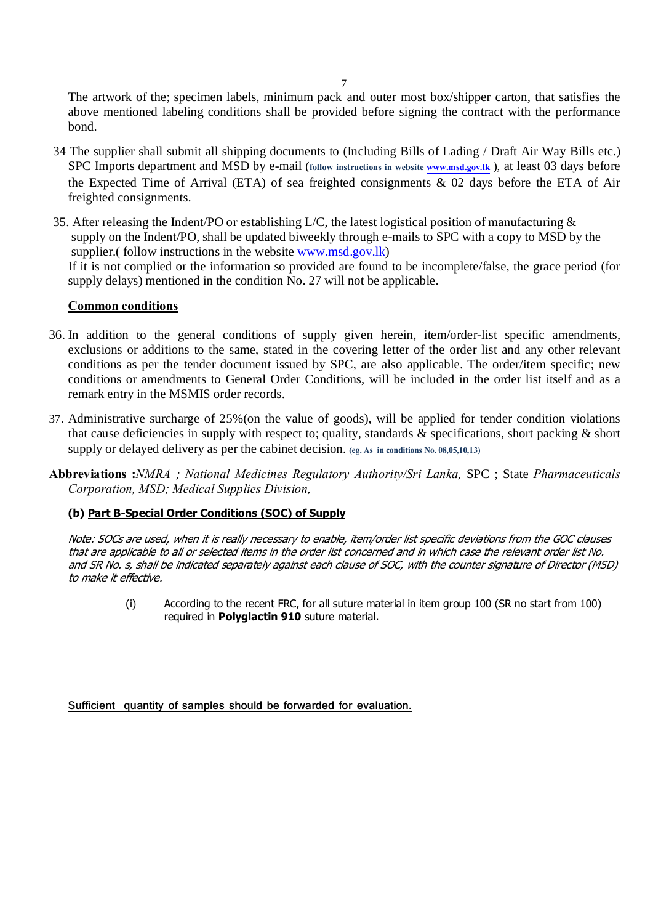The artwork of the; specimen labels, minimum pack and outer most box/shipper carton, that satisfies the above mentioned labeling conditions shall be provided before signing the contract with the performance bond.

- 34 The supplier shall submit all shipping documents to (Including Bills of Lading / Draft Air Way Bills etc.) SPC Imports department and MSD by e-mail (**follow instructions in website www.msd.gov.lk** ), at least 03 days before the Expected Time of Arrival (ETA) of sea freighted consignments & 02 days before the ETA of Air freighted consignments.
- 35. After releasing the Indent/PO or establishing [L/C, the latest log](http://www.msd.gov.lk/)istical position of manufacturing & supply on the Indent/PO, shall be updated biweekly through e-mails to SPC with a copy to MSD by the supplier.(follow instructions in the website www.msd.gov.lk) If it is not complied or the information so provided are found to be incomplete/false, the grace period (for supply delays) mentioned in the condition No. 27 will not be applicable.

#### **Common conditions**

- 36. In addition to the general conditions of supply given herein, item/order-list specific amendments, exclusions or additions to the same, stated in the covering letter of the order list and any other relevant conditions as per the tender document issued by SPC, are also applicable. The order/item specific; new conditions or amendments to General Order Conditions, will be included in the order list itself and as a remark entry in the MSMIS order records.
- 37. Administrative surcharge of 25%(on the value of goods), will be applied for tender condition violations that cause deficiencies in supply with respect to; quality, standards & specifications, short packing & short supply or delayed delivery as per the cabinet decision. **(eg. As in conditions No. 08,05,10,13)**
- **Abbreviations :***NMRA ; National Medicines Regulatory Authority/Sri Lanka,* SPC ; State *Pharmaceuticals Corporation, MSD; Medical Supplies Division,*

## **(b) Part B-Special Order Conditions (SOC) of Supply**

Note: SOCs are used, when it is really necessary to enable, item/order list specific deviations from the GOC clauses that are applicable to all or selected items in the order list concerned and in which case the relevant order list No. and SR No. s, shall be indicated separately against each clause of SOC, with the counter signature of Director (MSD) to make it effective.

> (i) According to the recent FRC, for all suture material in item group 100 (SR no start from 100) required in **Polyglactin 910** suture material.

**Sufficient quantity of samples should be forwarded for evaluation.**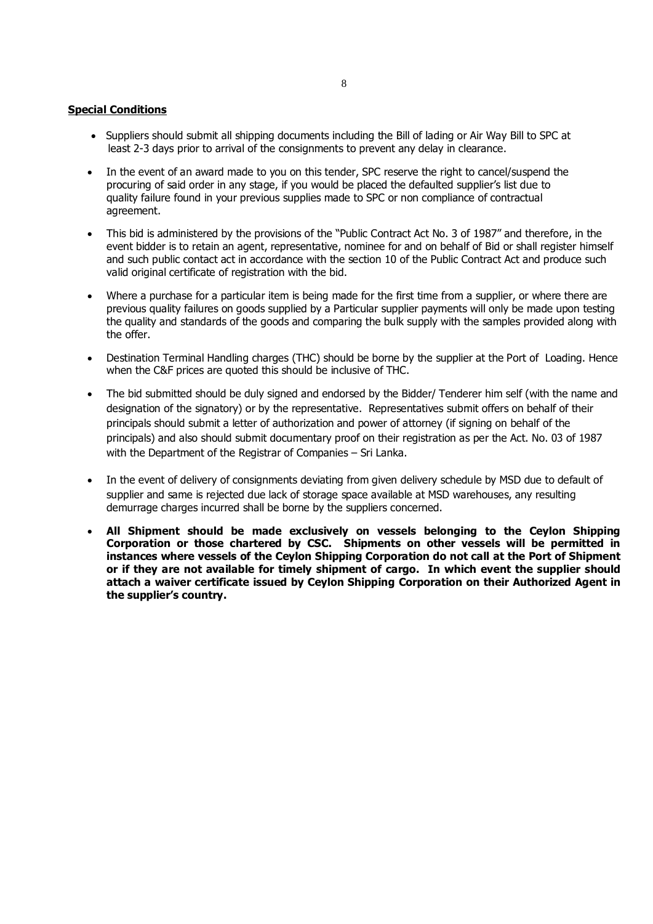#### **Special Conditions**

- · Suppliers should submit all shipping documents including the Bill of lading or Air Way Bill to SPC at least 2-3 days prior to arrival of the consignments to prevent any delay in clearance.
- In the event of an award made to you on this tender, SPC reserve the right to cancel/suspend the procuring of said order in any stage, if you would be placed the defaulted supplier's list due to quality failure found in your previous supplies made to SPC or non compliance of contractual agreement.
- This bid is administered by the provisions of the "Public Contract Act No. 3 of 1987" and therefore, in the event bidder is to retain an agent, representative, nominee for and on behalf of Bid or shall register himself and such public contact act in accordance with the section 10 of the Public Contract Act and produce such valid original certificate of registration with the bid.
- · Where a purchase for a particular item is being made for the first time from a supplier, or where there are previous quality failures on goods supplied by a Particular supplier payments will only be made upon testing the quality and standards of the goods and comparing the bulk supply with the samples provided along with the offer.
- Destination Terminal Handling charges (THC) should be borne by the supplier at the Port of Loading. Hence when the C&F prices are quoted this should be inclusive of THC.
- The bid submitted should be duly signed and endorsed by the Bidder/ Tenderer him self (with the name and designation of the signatory) or by the representative. Representatives submit offers on behalf of their principals should submit a letter of authorization and power of attorney (if signing on behalf of the principals) and also should submit documentary proof on their registration as per the Act. No. 03 of 1987 with the Department of the Registrar of Companies – Sri Lanka.
- In the event of delivery of consignments deviating from given delivery schedule by MSD due to default of supplier and same is rejected due lack of storage space available at MSD warehouses, any resulting demurrage charges incurred shall be borne by the suppliers concerned.
- · **All Shipment should be made exclusively on vessels belonging to the Ceylon Shipping Corporation or those chartered by CSC. Shipments on other vessels will be permitted in instances where vessels of the Ceylon Shipping Corporation do not call at the Port of Shipment or if they are not available for timely shipment of cargo. In which event the supplier should attach a waiver certificate issued by Ceylon Shipping Corporation on their Authorized Agent in the supplier's country.**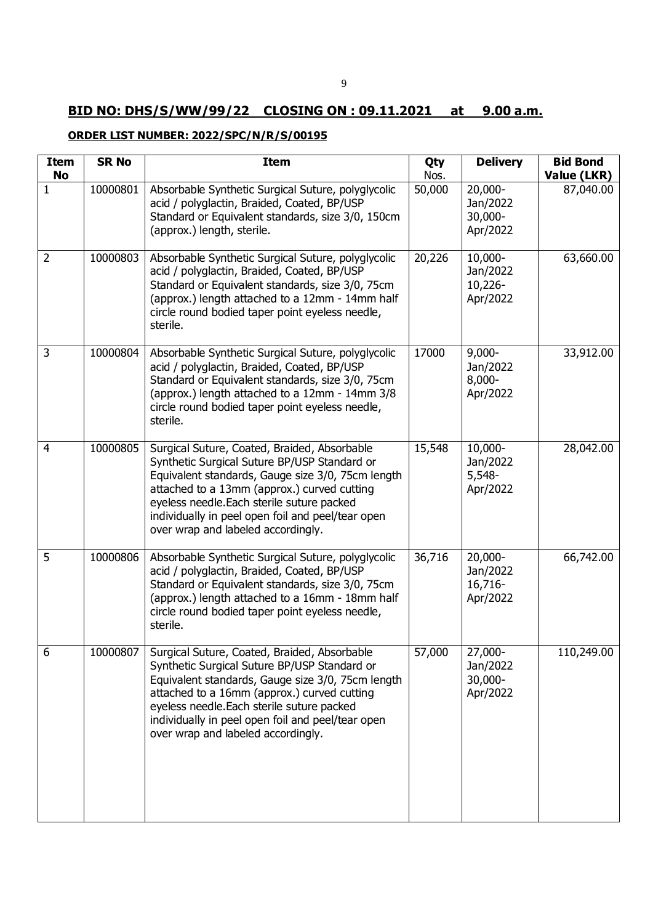# **BID NO: DHS/S/WW/99/22 CLOSING ON : 09.11.2021 at 9.00 a.m.**

# **ORDER LIST NUMBER: 2022/SPC/N/R/S/00195**

| Item<br><b>No</b> | <b>SR No</b> | <b>Item</b>                                                                                                                                                                                                                                                                                                                               | Qty<br>Nos. | <b>Delivery</b>                                | <b>Bid Bond</b><br>Value (LKR) |
|-------------------|--------------|-------------------------------------------------------------------------------------------------------------------------------------------------------------------------------------------------------------------------------------------------------------------------------------------------------------------------------------------|-------------|------------------------------------------------|--------------------------------|
| 1                 | 10000801     | Absorbable Synthetic Surgical Suture, polyglycolic<br>acid / polyglactin, Braided, Coated, BP/USP<br>Standard or Equivalent standards, size 3/0, 150cm<br>(approx.) length, sterile.                                                                                                                                                      | 50,000      | 20,000-<br>Jan/2022<br>30,000-<br>Apr/2022     | 87,040.00                      |
| $\overline{2}$    | 10000803     | Absorbable Synthetic Surgical Suture, polyglycolic<br>acid / polyglactin, Braided, Coated, BP/USP<br>Standard or Equivalent standards, size 3/0, 75cm<br>(approx.) length attached to a 12mm - 14mm half<br>circle round bodied taper point eyeless needle,<br>sterile.                                                                   | 20,226      | 10,000-<br>Jan/2022<br>10,226-<br>Apr/2022     | 63,660.00                      |
| 3                 | 10000804     | Absorbable Synthetic Surgical Suture, polyglycolic<br>acid / polyglactin, Braided, Coated, BP/USP<br>Standard or Equivalent standards, size 3/0, 75cm<br>(approx.) length attached to a 12mm - 14mm 3/8<br>circle round bodied taper point eyeless needle,<br>sterile.                                                                    | 17000       | $9,000 -$<br>Jan/2022<br>$8,000 -$<br>Apr/2022 | 33,912.00                      |
| $\overline{4}$    | 10000805     | Surgical Suture, Coated, Braided, Absorbable<br>Synthetic Surgical Suture BP/USP Standard or<br>Equivalent standards, Gauge size 3/0, 75cm length<br>attached to a 13mm (approx.) curved cutting<br>eyeless needle. Each sterile suture packed<br>individually in peel open foil and peel/tear open<br>over wrap and labeled accordingly. | 15,548      | 10,000-<br>Jan/2022<br>$5,548-$<br>Apr/2022    | 28,042.00                      |
| 5                 | 10000806     | Absorbable Synthetic Surgical Suture, polyglycolic<br>acid / polyglactin, Braided, Coated, BP/USP<br>Standard or Equivalent standards, size 3/0, 75cm<br>(approx.) length attached to a 16mm - 18mm half<br>circle round bodied taper point eyeless needle,<br>sterile.                                                                   | 36,716      | 20,000-<br>Jan/2022<br>16,716-<br>Apr/2022     | 66,742.00                      |
| 6                 | 10000807     | Surgical Suture, Coated, Braided, Absorbable<br>Synthetic Surgical Suture BP/USP Standard or<br>Equivalent standards, Gauge size 3/0, 75cm length<br>attached to a 16mm (approx.) curved cutting<br>eyeless needle. Each sterile suture packed<br>individually in peel open foil and peel/tear open<br>over wrap and labeled accordingly. | 57,000      | 27,000-<br>Jan/2022<br>30,000-<br>Apr/2022     | 110,249.00                     |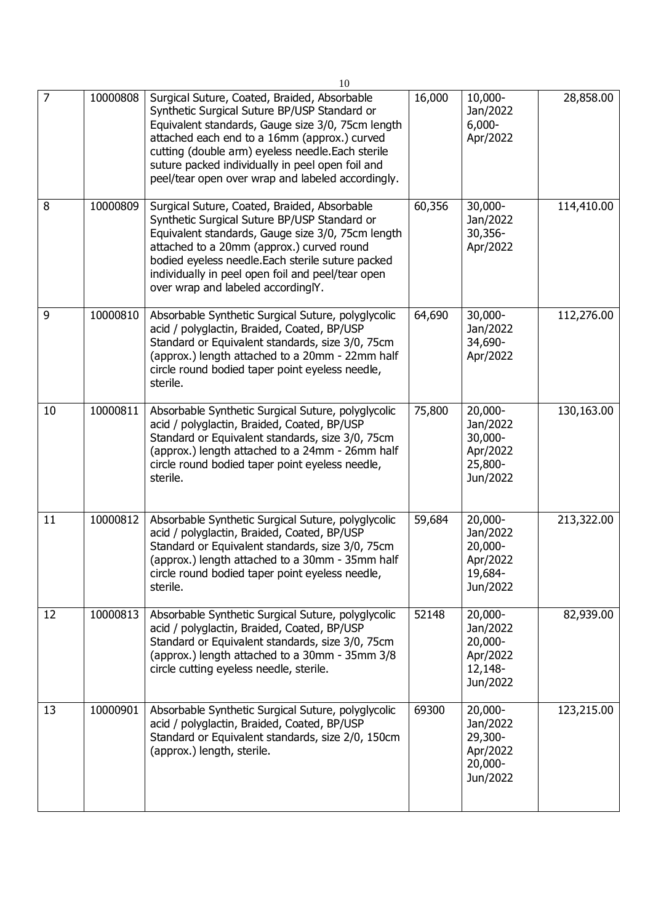|    |          | 10                                                                                                                                                                                                                                                                                                                                                              |        |                                                                   |            |
|----|----------|-----------------------------------------------------------------------------------------------------------------------------------------------------------------------------------------------------------------------------------------------------------------------------------------------------------------------------------------------------------------|--------|-------------------------------------------------------------------|------------|
| 7  | 10000808 | Surgical Suture, Coated, Braided, Absorbable<br>Synthetic Surgical Suture BP/USP Standard or<br>Equivalent standards, Gauge size 3/0, 75cm length<br>attached each end to a 16mm (approx.) curved<br>cutting (double arm) eyeless needle. Each sterile<br>suture packed individually in peel open foil and<br>peel/tear open over wrap and labeled accordingly. | 16,000 | 10,000-<br>Jan/2022<br>$6,000 -$<br>Apr/2022                      | 28,858.00  |
| 8  | 10000809 | Surgical Suture, Coated, Braided, Absorbable<br>Synthetic Surgical Suture BP/USP Standard or<br>Equivalent standards, Gauge size 3/0, 75cm length<br>attached to a 20mm (approx.) curved round<br>bodied eyeless needle. Each sterile suture packed<br>individually in peel open foil and peel/tear open<br>over wrap and labeled accordinglY.                  | 60,356 | 30,000-<br>Jan/2022<br>30,356-<br>Apr/2022                        | 114,410.00 |
| 9  | 10000810 | Absorbable Synthetic Surgical Suture, polyglycolic<br>acid / polyglactin, Braided, Coated, BP/USP<br>Standard or Equivalent standards, size 3/0, 75cm<br>(approx.) length attached to a 20mm - 22mm half<br>circle round bodied taper point eyeless needle,<br>sterile.                                                                                         | 64,690 | 30,000-<br>Jan/2022<br>34,690-<br>Apr/2022                        | 112,276.00 |
| 10 | 10000811 | Absorbable Synthetic Surgical Suture, polyglycolic<br>acid / polyglactin, Braided, Coated, BP/USP<br>Standard or Equivalent standards, size 3/0, 75cm<br>(approx.) length attached to a 24mm - 26mm half<br>circle round bodied taper point eyeless needle,<br>sterile.                                                                                         | 75,800 | 20,000-<br>Jan/2022<br>30,000-<br>Apr/2022<br>25,800-<br>Jun/2022 | 130,163.00 |
| 11 | 10000812 | Absorbable Synthetic Surgical Suture, polyglycolic<br>acid / polyglactin, Braided, Coated, BP/USP<br>Standard or Equivalent standards, size 3/0, 75cm<br>(approx.) length attached to a 30mm - 35mm half<br>circle round bodied taper point eyeless needle,<br>sterile.                                                                                         | 59,684 | 20,000-<br>Jan/2022<br>20,000-<br>Apr/2022<br>19,684-<br>Jun/2022 | 213,322.00 |
| 12 | 10000813 | Absorbable Synthetic Surgical Suture, polyglycolic<br>acid / polyglactin, Braided, Coated, BP/USP<br>Standard or Equivalent standards, size 3/0, 75cm<br>(approx.) length attached to a 30mm - 35mm 3/8<br>circle cutting eyeless needle, sterile.                                                                                                              | 52148  | 20,000-<br>Jan/2022<br>20,000-<br>Apr/2022<br>12,148-<br>Jun/2022 | 82,939.00  |
| 13 | 10000901 | Absorbable Synthetic Surgical Suture, polyglycolic<br>acid / polyglactin, Braided, Coated, BP/USP<br>Standard or Equivalent standards, size 2/0, 150cm<br>(approx.) length, sterile.                                                                                                                                                                            | 69300  | 20,000-<br>Jan/2022<br>29,300-<br>Apr/2022<br>20,000-<br>Jun/2022 | 123,215.00 |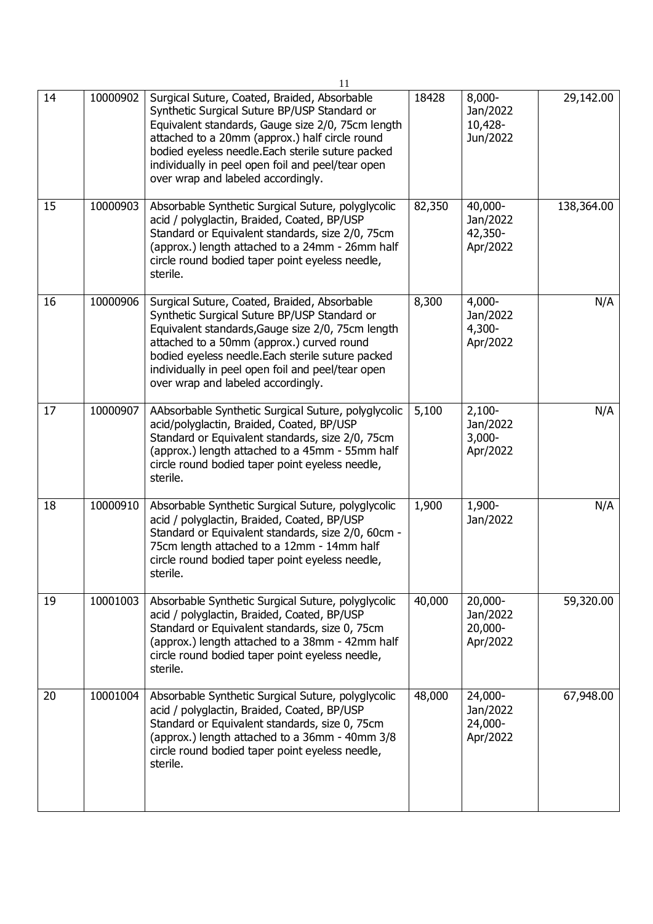|    |          | 11                                                                                                                                                                                                                                                                                                                                                  |        |                                               |            |
|----|----------|-----------------------------------------------------------------------------------------------------------------------------------------------------------------------------------------------------------------------------------------------------------------------------------------------------------------------------------------------------|--------|-----------------------------------------------|------------|
| 14 | 10000902 | Surgical Suture, Coated, Braided, Absorbable<br>Synthetic Surgical Suture BP/USP Standard or<br>Equivalent standards, Gauge size 2/0, 75cm length<br>attached to a 20mm (approx.) half circle round<br>bodied eyeless needle. Each sterile suture packed<br>individually in peel open foil and peel/tear open<br>over wrap and labeled accordingly. | 18428  | $8,000 -$<br>Jan/2022<br>10,428-<br>Jun/2022  | 29,142.00  |
| 15 | 10000903 | Absorbable Synthetic Surgical Suture, polyglycolic<br>acid / polyglactin, Braided, Coated, BP/USP<br>Standard or Equivalent standards, size 2/0, 75cm<br>(approx.) length attached to a 24mm - 26mm half<br>circle round bodied taper point eyeless needle,<br>sterile.                                                                             | 82,350 | 40,000-<br>Jan/2022<br>42,350-<br>Apr/2022    | 138,364.00 |
| 16 | 10000906 | Surgical Suture, Coated, Braided, Absorbable<br>Synthetic Surgical Suture BP/USP Standard or<br>Equivalent standards, Gauge size 2/0, 75cm length<br>attached to a 50mm (approx.) curved round<br>bodied eyeless needle. Each sterile suture packed<br>individually in peel open foil and peel/tear open<br>over wrap and labeled accordingly.      | 8,300  | $4,000 -$<br>Jan/2022<br>$4,300-$<br>Apr/2022 | N/A        |
| 17 | 10000907 | AAbsorbable Synthetic Surgical Suture, polyglycolic<br>acid/polyglactin, Braided, Coated, BP/USP<br>Standard or Equivalent standards, size 2/0, 75cm<br>(approx.) length attached to a 45mm - 55mm half<br>circle round bodied taper point eyeless needle,<br>sterile.                                                                              | 5,100  | $2,100-$<br>Jan/2022<br>$3,000 -$<br>Apr/2022 | N/A        |
| 18 | 10000910 | Absorbable Synthetic Surgical Suture, polyglycolic<br>acid / polyglactin, Braided, Coated, BP/USP<br>Standard or Equivalent standards, size 2/0, 60cm -<br>75cm length attached to a 12mm - 14mm half<br>circle round bodied taper point eyeless needle,<br>sterile.                                                                                | 1,900  | 1,900-<br>Jan/2022                            | N/A        |
| 19 | 10001003 | Absorbable Synthetic Surgical Suture, polyglycolic<br>acid / polyglactin, Braided, Coated, BP/USP<br>Standard or Equivalent standards, size 0, 75cm<br>(approx.) length attached to a 38mm - 42mm half<br>circle round bodied taper point eyeless needle,<br>sterile.                                                                               | 40,000 | 20,000-<br>Jan/2022<br>20,000-<br>Apr/2022    | 59,320.00  |
| 20 | 10001004 | Absorbable Synthetic Surgical Suture, polyglycolic<br>acid / polyglactin, Braided, Coated, BP/USP<br>Standard or Equivalent standards, size 0, 75cm<br>(approx.) length attached to a 36mm - 40mm 3/8<br>circle round bodied taper point eyeless needle,<br>sterile.                                                                                | 48,000 | 24,000-<br>Jan/2022<br>24,000-<br>Apr/2022    | 67,948.00  |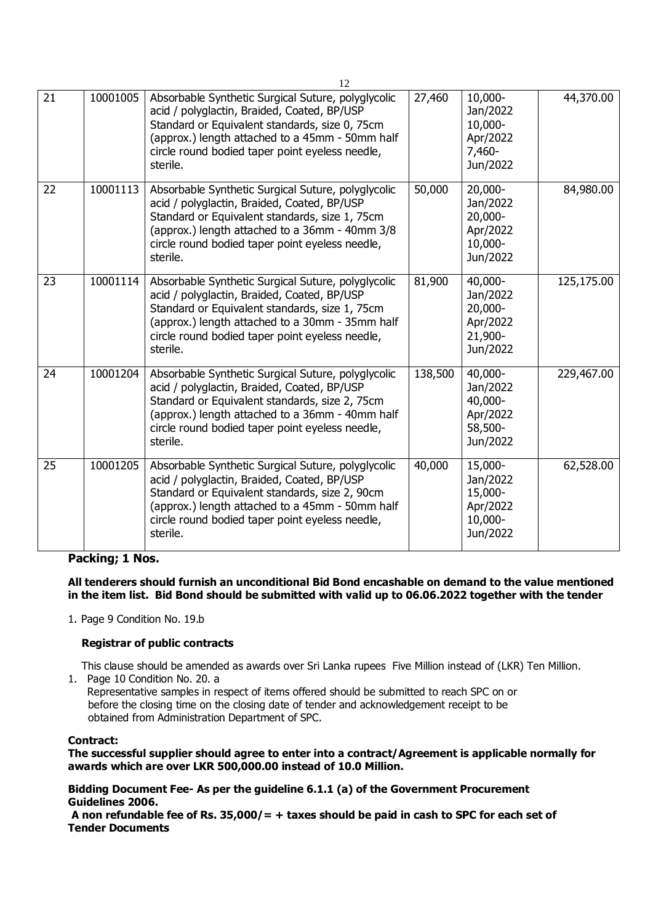|                 |          | 12                                                                                                                                                                                                                                                                    |         |                                                                   |            |
|-----------------|----------|-----------------------------------------------------------------------------------------------------------------------------------------------------------------------------------------------------------------------------------------------------------------------|---------|-------------------------------------------------------------------|------------|
| $\overline{21}$ | 10001005 | Absorbable Synthetic Surgical Suture, polyglycolic<br>acid / polyglactin, Braided, Coated, BP/USP<br>Standard or Equivalent standards, size 0, 75cm<br>(approx.) length attached to a 45mm - 50mm half<br>circle round bodied taper point eyeless needle,<br>sterile. | 27,460  | 10,000-<br>Jan/2022<br>10,000-<br>Apr/2022<br>7,460-<br>Jun/2022  | 44,370.00  |
| 22              | 10001113 | Absorbable Synthetic Surgical Suture, polyglycolic<br>acid / polyglactin, Braided, Coated, BP/USP<br>Standard or Equivalent standards, size 1, 75cm<br>(approx.) length attached to a 36mm - 40mm 3/8<br>circle round bodied taper point eyeless needle,<br>sterile.  | 50,000  | 20,000-<br>Jan/2022<br>20,000-<br>Apr/2022<br>10,000-<br>Jun/2022 | 84,980.00  |
| 23              | 10001114 | Absorbable Synthetic Surgical Suture, polyglycolic<br>acid / polyglactin, Braided, Coated, BP/USP<br>Standard or Equivalent standards, size 1, 75cm<br>(approx.) length attached to a 30mm - 35mm half<br>circle round bodied taper point eyeless needle,<br>sterile. | 81,900  | 40,000-<br>Jan/2022<br>20,000-<br>Apr/2022<br>21,900-<br>Jun/2022 | 125,175.00 |
| 24              | 10001204 | Absorbable Synthetic Surgical Suture, polyglycolic<br>acid / polyglactin, Braided, Coated, BP/USP<br>Standard or Equivalent standards, size 2, 75cm<br>(approx.) length attached to a 36mm - 40mm half<br>circle round bodied taper point eyeless needle,<br>sterile. | 138,500 | 40,000-<br>Jan/2022<br>40,000-<br>Apr/2022<br>58,500-<br>Jun/2022 | 229,467.00 |
| 25              | 10001205 | Absorbable Synthetic Surgical Suture, polyglycolic<br>acid / polyglactin, Braided, Coated, BP/USP<br>Standard or Equivalent standards, size 2, 90cm<br>(approx.) length attached to a 45mm - 50mm half<br>circle round bodied taper point eyeless needle,<br>sterile. | 40,000  | 15,000-<br>Jan/2022<br>15,000-<br>Apr/2022<br>10,000-<br>Jun/2022 | 62,528.00  |

## **Packing; 1 Nos.**

#### **All tenderers should furnish an unconditional Bid Bond encashable on demand to the value mentioned in the item list. Bid Bond should be submitted with valid up to 06.06.2022 together with the tender**

1. Page 9 Condition No. 19.b

#### **Registrar of public contracts**

This clause should be amended as awards over Sri Lanka rupees Five Million instead of (LKR) Ten Million.

1. Page 10 Condition No. 20. a

Representative samples in respect of items offered should be submitted to reach SPC on or before the closing time on the closing date of tender and acknowledgement receipt to be obtained from Administration Department of SPC.

#### **Contract:**

**The successful supplier should agree to enter into a contract/Agreement is applicable normally for awards which are over LKR 500,000.00 instead of 10.0 Million.**

**Bidding Document Fee- As per the guideline 6.1.1 (a) of the Government Procurement Guidelines 2006.**

**A non refundable fee of Rs. 35,000/= + taxes should be paid in cash to SPC for each set of Tender Documents**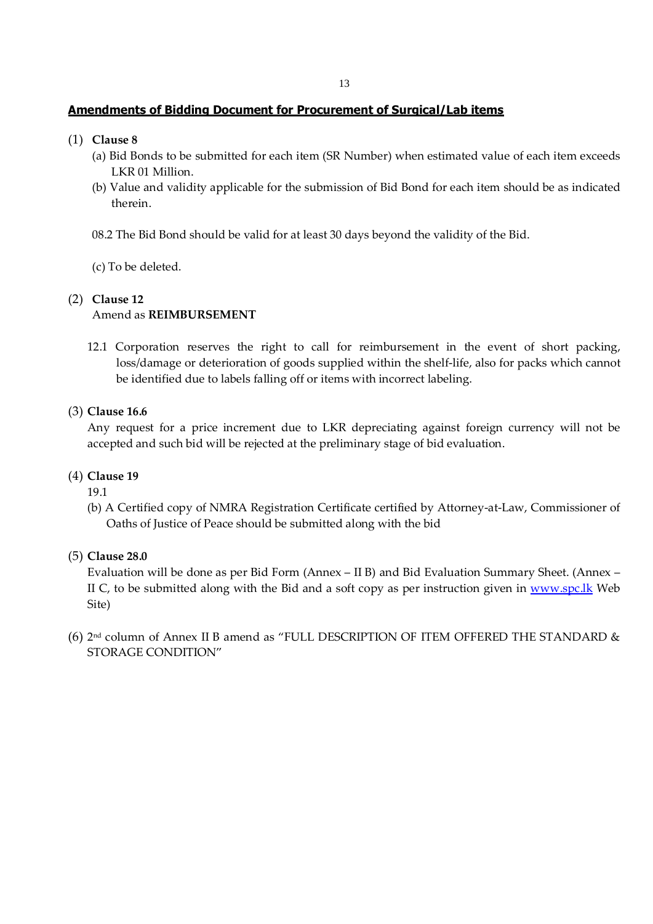## **Amendments of Bidding Document for Procurement of Surgical/Lab items**

- (1) **Clause 8**
	- (a) Bid Bonds to be submitted for each item (SR Number) when estimated value of each item exceeds LKR 01 Million.
	- (b) Value and validity applicable for the submission of Bid Bond for each item should be as indicated therein.

08.2 The Bid Bond should be valid for at least 30 days beyond the validity of the Bid.

(c) To be deleted.

#### (2) **Clause 12**

Amend as **REIMBURSEMENT** 

12.1 Corporation reserves the right to call for reimbursement in the event of short packing, loss/damage or deterioration of goods supplied within the shelf-life, also for packs which cannot be identified due to labels falling off or items with incorrect labeling.

#### (3) **Clause 16.6**

Any request for a price increment due to LKR depreciating against foreign currency will not be accepted and such bid will be rejected at the preliminary stage of bid evaluation.

## (4) **Clause 19**

19.1

(b) A Certified copy of NMRA Registration Certificate certified by Attorney-at-Law, Commissioner of Oaths of Justice of Peace should be submitted along with the bid

## (5) **Clause 28.0**

Evaluation will be done as per Bid Form (Annex – II B) and Bid Evaluation Summary Sheet. (Annex – II C, to be submitted along with the Bid and a soft copy as per instruction given in www.spc.lk Web Site)

(6) 2nd column of Annex II B amend as "FULL DESCRIPTION OF ITEM OFFERED THE STANDARD & STORAGE CONDITION"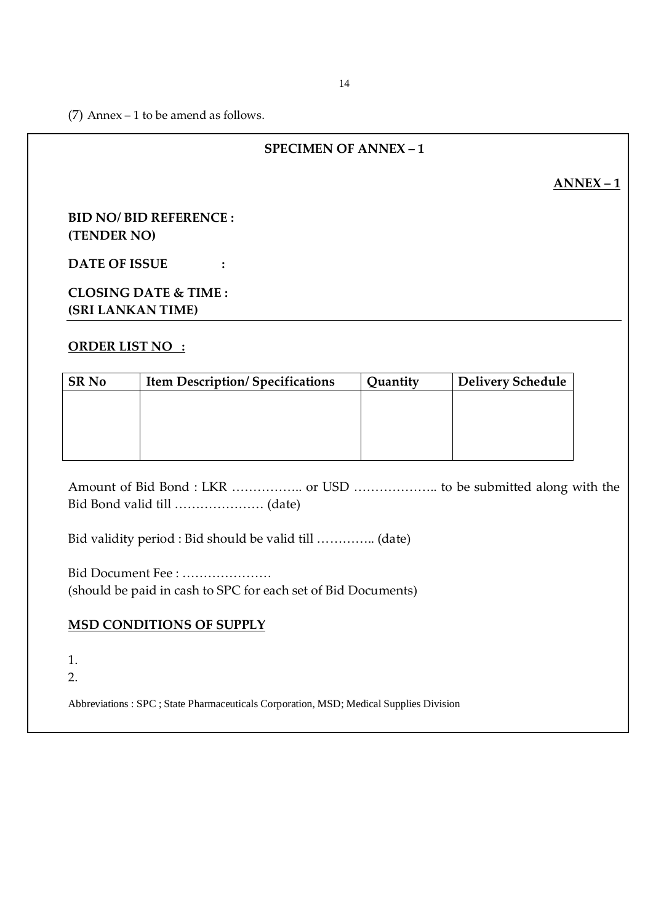(7) Annex – 1 to be amend as follows.

## **SPECIMEN OF ANNEX – 1**

**ANNEX – 1**

## **BID NO/ BID REFERENCE : (TENDER NO)**

**DATE OF ISSUE :**

# **CLOSING DATE & TIME : (SRI LANKAN TIME)**

## **ORDER LIST NO :**

| <b>SR No</b> | <b>Item Description/Specifications</b> | Quantity | <b>Delivery Schedule</b> |
|--------------|----------------------------------------|----------|--------------------------|
|              |                                        |          |                          |
|              |                                        |          |                          |
|              |                                        |          |                          |
|              |                                        |          |                          |

Amount of Bid Bond : LKR …………….. or USD ……………….. to be submitted along with the Bid Bond valid till ………………… (date)

Bid validity period : Bid should be valid till ………….. (date)

Bid Document Fee : ………………… (should be paid in cash to SPC for each set of Bid Documents)

## **MSD CONDITIONS OF SUPPLY**

1.

2.

Abbreviations : SPC ; State Pharmaceuticals Corporation, MSD; Medical Supplies Division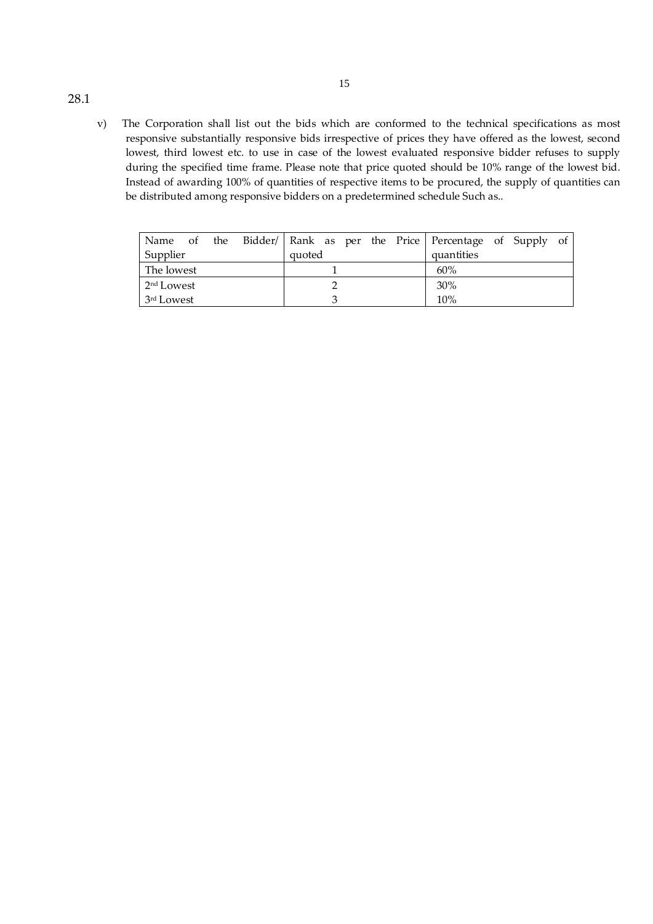v) The Corporation shall list out the bids which are conformed to the technical specifications as most responsive substantially responsive bids irrespective of prices they have offered as the lowest, second lowest, third lowest etc. to use in case of the lowest evaluated responsive bidder refuses to supply during the specified time frame. Please note that price quoted should be 10% range of the lowest bid. Instead of awarding 100% of quantities of respective items to be procured, the supply of quantities can be distributed among responsive bidders on a predetermined schedule Such as..

15

|                        |  |  |  |        |  |  |     |            | Name of the Bidder/ Rank as per the Price Percentage of Supply of |  |  |  |
|------------------------|--|--|--|--------|--|--|-----|------------|-------------------------------------------------------------------|--|--|--|
| Supplier               |  |  |  | quoted |  |  |     | quantities |                                                                   |  |  |  |
| The lowest             |  |  |  |        |  |  | 60% |            |                                                                   |  |  |  |
| 2 <sup>nd</sup> Lowest |  |  |  | 30%    |  |  |     |            |                                                                   |  |  |  |
| 3 <sup>rd</sup> Lowest |  |  |  |        |  |  |     | 10%        |                                                                   |  |  |  |

#### 28.1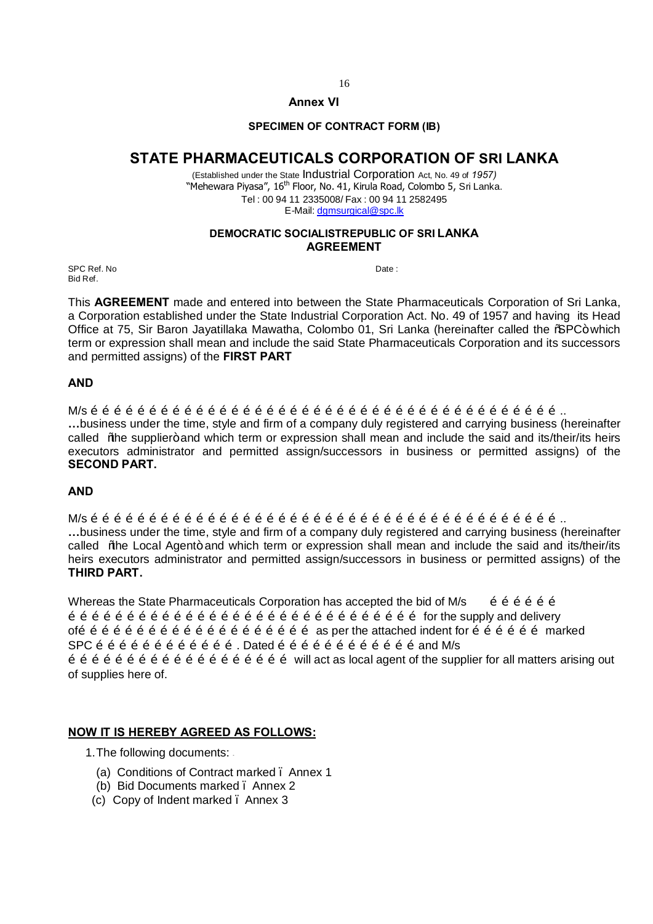#### **Annex VI**

#### **SPECIMEN OF CONTRACT FORM (IB)**

# **STATE PHARMACEUTICALS CORPORATION OF SRI LANKA**

(Established under the State Indu[strial Corporation](mailto:dgmsurgical@spc.lk) Act, No. 49 of *1957)* "Mehewara Piyasa", 16<sup>th</sup> Floor, No. 41, Kirula Road, Colombo 5, Sri Lanka. Tel : 00 94 11 2335008/ Fax : 00 94 11 2582495 E-Mail: dgmsurgical@spc.lk

#### **DEMOCRATIC SOCIALISTREPUBLIC OF SRI LANKA AGREEMENT**

SPC Ref. No Date : Bid Ref.

This **AGREEMENT** made and entered into between the State Pharmaceuticals Corporation of Sri Lanka, a Corporation established under the State Industrial Corporation Act. No. 49 of 1957 and having its Head Office at 75, Sir Baron Jayatillaka Mawatha, Colombo 01, Sri Lanka (hereinafter called the %PC+ which term or expression shall mean and include the said State Pharmaceuticals Corporation and its successors and permitted assigns) of the **FIRST PART**

#### **AND**

M/s ………………………………………………………………………………………………………….. **…**business under the time, style and firm of a company duly registered and carrying business (hereinafter called "the supplier+ and which term or expression shall mean and include the said and its/their/its heirs executors administrator and permitted assign/successors in business or permitted assigns) of the **SECOND PART.**

#### **AND**

M/s ………………………………………………………………………………………………………….. **…**business under the time, style and firm of a company duly registered and carrying business (hereinafter called % he Local Agent+ and which term or expression shall mean and include the said and its/their/its heirs executors administrator and permitted assign/successors in business or permitted assigns) of the **THIRD PART.**

Whereas the State Pharmaceuticals Corporation has accepted the bid of M/s  $\qquad \tilde{0} \tilde{0} \tilde{0} \tilde{0} \tilde{0}$  $\ddot{o}$   $\ddot{o}$   $\ddot{o}$   $\ddot{o}$   $\ddot{o}$   $\ddot{o}$   $\ddot{o}$   $\ddot{o}$   $\ddot{o}$   $\ddot{o}$   $\ddot{o}$   $\ddot{o}$   $\ddot{o}$   $\ddot{o}$   $\ddot{o}$   $\ddot{o}$   $\ddot{o}$   $\ddot{o}$  for the supply and delivery of…………………………………………………… as per the attached indent for ……………… marked  $SPC$   $\ddot{o}$   $\ddot{o}$   $\ddot{o}$   $\ddot{o}$   $\ddot{o}$   $\ddot{o}$   $\ddot{o}$   $\ddot{o}$   $\ddot{o}$   $\ddot{o}$   $\ddot{o}$   $\ddot{o}$   $\ddot{o}$   $\ddot{o}$   $\ddot{o}$   $\ddot{o}$   $\ddot{o}$   $\ddot{o}$   $\ddot{o}$   $\ddot{o}$   $\ddot{o}$   $\ddot{o}$   $\ddot{o}$   $\ddot{o}$   $\ddot{o}$   $\ddot{o}$   $\ddot{o}$   $\ddot{o}$   $\ddot{o}$   $\ddot{o}$   $\ddot{o}$   $\ddot{o}$   $\ddot{o}$   $\ddot{o}$   $\ddot{o}$   $\ddot{o}$   $\ddot{o}$   $\ddot{o}$   $\ddot{o}$   $\ddot{o}$   $\ddot{o}$   $\ddot{o}$   $\ddot{o}$   $\ddot{o}$   $\ddot{o}$   $\ddot{o}$   $\ddot{o}$   $\ddot{o}$   $\ddot{o}$   $\ddot{o}$   $\ddot{o}$   $\ddot{o}$   $\ddot{o}$   $\ddot{o}$   $\ddot{o}$ of supplies here of.

#### **NOW IT IS HEREBY AGREED AS FOLLOWS:**

1.The following documents: -

- (a) Conditions of Contract marked . Annex 1
- (b) Bid Documents marked . Annex 2
- (c) Copy of Indent marked . Annex 3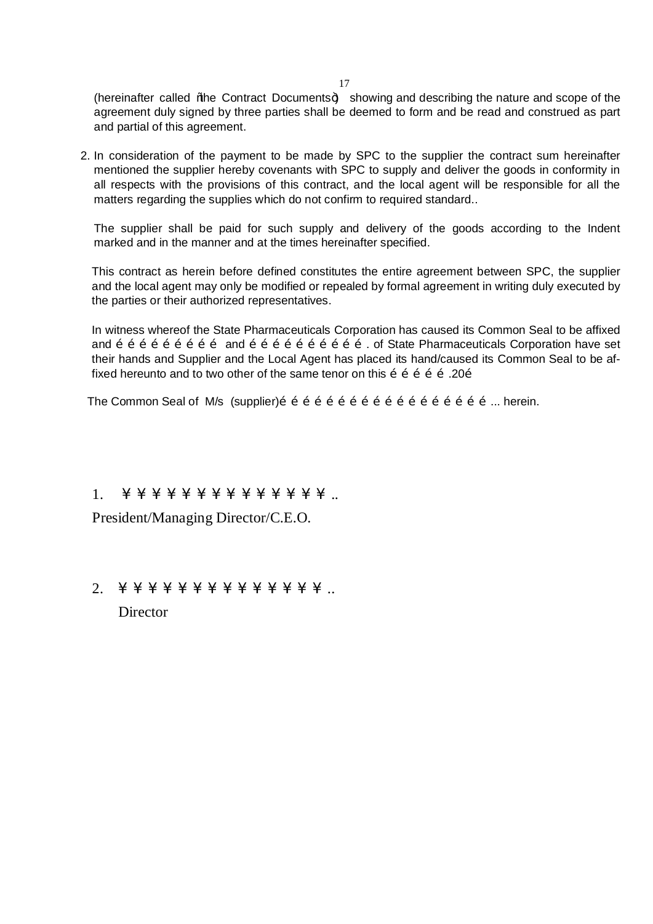(hereinafter called % be Contract Documents +) showing and describing the nature and scope of the agreement duly signed by three parties shall be deemed to form and be read and construed as part and partial of this agreement.

2. In consideration of the payment to be made by SPC to the supplier the contract sum hereinafter mentioned the supplier hereby covenants with SPC to supply and deliver the goods in conformity in all respects with the provisions of this contract, and the local agent will be responsible for all the matters regarding the supplies which do not confirm to required standard..

The supplier shall be paid for such supply and delivery of the goods according to the Indent marked and in the manner and at the times hereinafter specified.

This contract as herein before defined constitutes the entire agreement between SPC, the supplier and the local agent may only be modified or repealed by formal agreement in writing duly executed by the parties or their authorized representatives.

In witness whereof the State Pharmaceuticals Corporation has caused its Common Seal to be affixed and  $\tilde{0}$   $\tilde{0}$   $\tilde{0}$   $\tilde{0}$   $\tilde{0}$   $\tilde{0}$   $\tilde{0}$   $\tilde{0}$   $\tilde{0}$   $\tilde{0}$   $\tilde{0}$   $\tilde{0}$   $\tilde{0}$   $\tilde{0}$   $\tilde{0}$   $\tilde{0}$   $\tilde{0}$   $\tilde{0}$   $\tilde{0}$   $\tilde{0}$   $\tilde{0}$   $\tilde{0}$   $\tilde{0}$   $\tilde{0}$   $\$ their hands and Supplier and the Local Agent has placed its hand/caused its Common Seal to be affixed hereunto and to two other of the same tenor on this  $\tilde{p}$   $\tilde{p}$   $\tilde{p}$   $\tilde{p}$   $\tilde{p}$   $\tilde{p}$   $\tilde{p}$   $\tilde{p}$   $\tilde{p}$   $\tilde{p}$   $\tilde{p}$   $\tilde{p}$   $\tilde{p}$   $\tilde{p}$   $\tilde{p}$   $\tilde{p}$   $\tilde{p}$   $\tilde{p}$ 

The Common Seal of M/s  $(supplier)$  $\tilde{o}$   $\tilde{o}$   $\tilde{o}$   $\tilde{o}$   $\tilde{o}$   $\tilde{o}$   $\tilde{o}$   $\tilde{o}$   $\tilde{o}$   $\tilde{o}$   $\tilde{o}$   $\tilde{o}$   $\tilde{o}$   $\tilde{o}$   $\tilde{o}$   $\tilde{o}$   $\tilde{o}$ ... herein.

1. … … … … … … … … … … … … … … ..

President/Managing Director/C.E.O.

2. … … … … … … … … … … … … … … ..

**Director**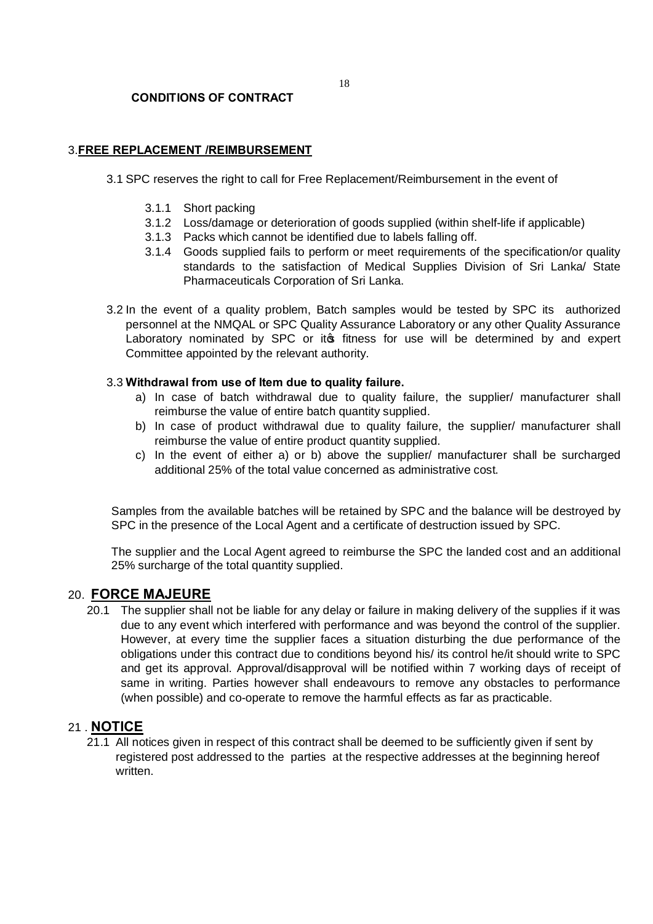#### **CONDITIONS OF CONTRACT**

#### 3.**FREE REPLACEMENT /REIMBURSEMENT**

- 3.1 SPC reserves the right to call for Free Replacement/Reimbursement in the event of
	- 3.1.1 Short packing
	- 3.1.2 Loss/damage or deterioration of goods supplied (within shelf-life if applicable)
	- 3.1.3 Packs which cannot be identified due to labels falling off.
	- 3.1.4 Goods supplied fails to perform or meet requirements of the specification/or quality standards to the satisfaction of Medical Supplies Division of Sri Lanka/ State Pharmaceuticals Corporation of Sri Lanka.
- 3.2 In the event of a quality problem, Batch samples would be tested by SPC its authorized personnel at the NMQAL or SPC Quality Assurance Laboratory or any other Quality Assurance Laboratory nominated by SPC or its fitness for use will be determined by and expert Committee appointed by the relevant authority.

#### 3.3 **Withdrawal from use of Item due to quality failure.**

- a) In case of batch withdrawal due to quality failure, the supplier/ manufacturer shall reimburse the value of entire batch quantity supplied.
- b) In case of product withdrawal due to quality failure, the supplier/ manufacturer shall reimburse the value of entire product quantity supplied.
- c) In the event of either a) or b) above the supplier/ manufacturer shall be surcharged additional 25% of the total value concerned as administrative cost.

Samples from the available batches will be retained by SPC and the balance will be destroyed by SPC in the presence of the Local Agent and a certificate of destruction issued by SPC.

The supplier and the Local Agent agreed to reimburse the SPC the landed cost and an additional 25% surcharge of the total quantity supplied.

## 20. **FORCE MAJEURE**

20.1 The supplier shall not be liable for any delay or failure in making delivery of the supplies if it was due to any event which interfered with performance and was beyond the control of the supplier. However, at every time the supplier faces a situation disturbing the due performance of the obligations under this contract due to conditions beyond his/ its control he/it should write to SPC and get its approval. Approval/disapproval will be notified within 7 working days of receipt of same in writing. Parties however shall endeavours to remove any obstacles to performance (when possible) and co-operate to remove the harmful effects as far as practicable.

## 21 . **NOTICE**

21.1 All notices given in respect of this contract shall be deemed to be sufficiently given if sent by registered post addressed to the parties at the respective addresses at the beginning hereof written.